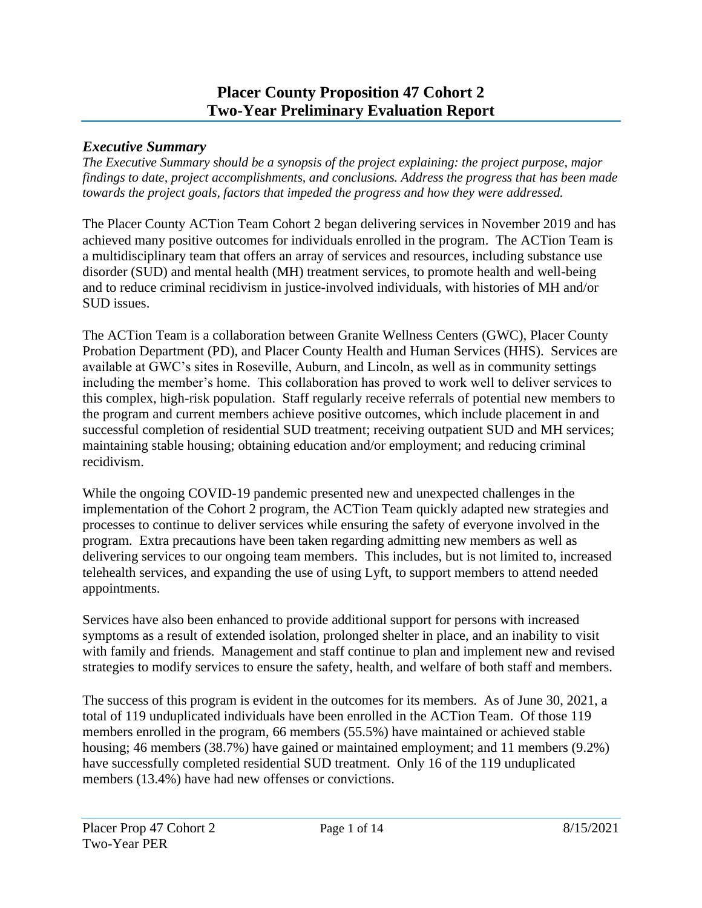## **Placer County Proposition 47 Cohort 2 Two-Year Preliminary Evaluation Report**

#### *Executive Summary*

*The Executive Summary should be a synopsis of the project explaining: the project purpose, major findings to date, project accomplishments, and conclusions. Address the progress that has been made towards the project goals, factors that impeded the progress and how they were addressed.*

The Placer County ACTion Team Cohort 2 began delivering services in November 2019 and has achieved many positive outcomes for individuals enrolled in the program. The ACTion Team is a multidisciplinary team that offers an array of services and resources, including substance use disorder (SUD) and mental health (MH) treatment services, to promote health and well-being and to reduce criminal recidivism in justice-involved individuals, with histories of MH and/or SUD issues.

The ACTion Team is a collaboration between Granite Wellness Centers (GWC), Placer County Probation Department (PD), and Placer County Health and Human Services (HHS). Services are available at GWC's sites in Roseville, Auburn, and Lincoln, as well as in community settings including the member's home. This collaboration has proved to work well to deliver services to this complex, high-risk population. Staff regularly receive referrals of potential new members to the program and current members achieve positive outcomes, which include placement in and successful completion of residential SUD treatment; receiving outpatient SUD and MH services; maintaining stable housing; obtaining education and/or employment; and reducing criminal recidivism.

While the ongoing COVID-19 pandemic presented new and unexpected challenges in the implementation of the Cohort 2 program, the ACTion Team quickly adapted new strategies and processes to continue to deliver services while ensuring the safety of everyone involved in the program. Extra precautions have been taken regarding admitting new members as well as delivering services to our ongoing team members. This includes, but is not limited to, increased telehealth services, and expanding the use of using Lyft, to support members to attend needed appointments.

Services have also been enhanced to provide additional support for persons with increased symptoms as a result of extended isolation, prolonged shelter in place, and an inability to visit with family and friends. Management and staff continue to plan and implement new and revised strategies to modify services to ensure the safety, health, and welfare of both staff and members.

The success of this program is evident in the outcomes for its members. As of June 30, 2021, a total of 119 unduplicated individuals have been enrolled in the ACTion Team. Of those 119 members enrolled in the program, 66 members (55.5%) have maintained or achieved stable housing; 46 members (38.7%) have gained or maintained employment; and 11 members (9.2%) have successfully completed residential SUD treatment. Only 16 of the 119 unduplicated members (13.4%) have had new offenses or convictions.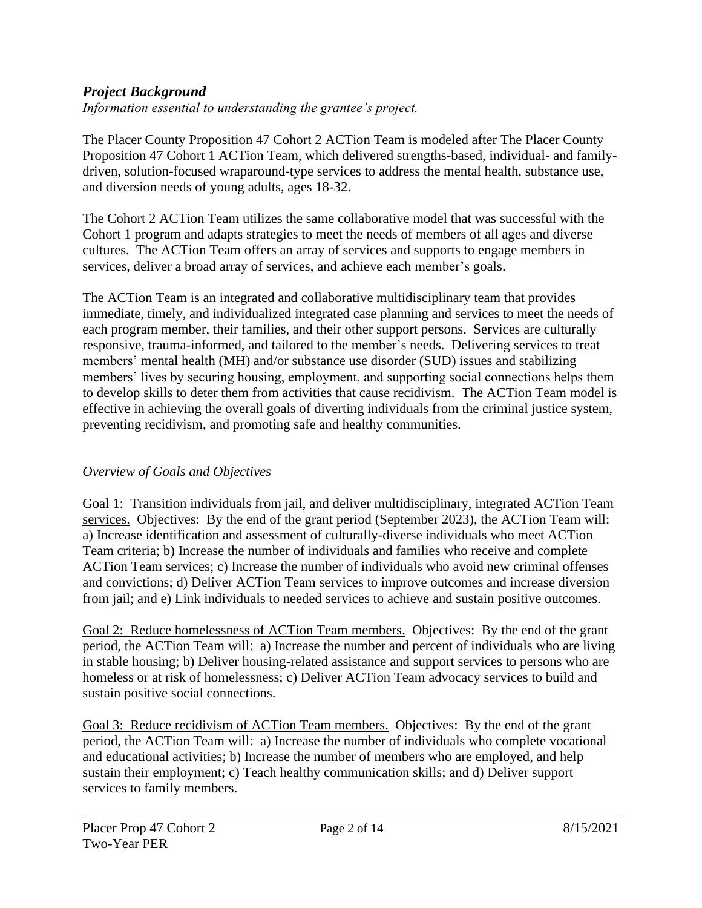## *Project Background*

*Information essential to understanding the grantee's project.* 

The Placer County Proposition 47 Cohort 2 ACTion Team is modeled after The Placer County Proposition 47 Cohort 1 ACTion Team, which delivered strengths-based, individual- and familydriven, solution-focused wraparound-type services to address the mental health, substance use, and diversion needs of young adults, ages 18-32.

The Cohort 2 ACTion Team utilizes the same collaborative model that was successful with the Cohort 1 program and adapts strategies to meet the needs of members of all ages and diverse cultures. The ACTion Team offers an array of services and supports to engage members in services, deliver a broad array of services, and achieve each member's goals.

The ACTion Team is an integrated and collaborative multidisciplinary team that provides immediate, timely, and individualized integrated case planning and services to meet the needs of each program member, their families, and their other support persons. Services are culturally responsive, trauma-informed, and tailored to the member's needs. Delivering services to treat members' mental health (MH) and/or substance use disorder (SUD) issues and stabilizing members' lives by securing housing, employment, and supporting social connections helps them to develop skills to deter them from activities that cause recidivism. The ACTion Team model is effective in achieving the overall goals of diverting individuals from the criminal justice system, preventing recidivism, and promoting safe and healthy communities.

### *Overview of Goals and Objectives*

Goal 1: Transition individuals from jail, and deliver multidisciplinary, integrated ACTion Team services. Objectives: By the end of the grant period (September 2023), the ACTion Team will: a) Increase identification and assessment of culturally-diverse individuals who meet ACTion Team criteria; b) Increase the number of individuals and families who receive and complete ACTion Team services; c) Increase the number of individuals who avoid new criminal offenses and convictions; d) Deliver ACTion Team services to improve outcomes and increase diversion from jail; and e) Link individuals to needed services to achieve and sustain positive outcomes.

Goal 2: Reduce homelessness of ACTion Team members. Objectives: By the end of the grant period, the ACTion Team will: a) Increase the number and percent of individuals who are living in stable housing; b) Deliver housing-related assistance and support services to persons who are homeless or at risk of homelessness; c) Deliver ACTion Team advocacy services to build and sustain positive social connections.

Goal 3: Reduce recidivism of ACTion Team members. Objectives: By the end of the grant period, the ACTion Team will: a) Increase the number of individuals who complete vocational and educational activities; b) Increase the number of members who are employed, and help sustain their employment; c) Teach healthy communication skills; and d) Deliver support services to family members.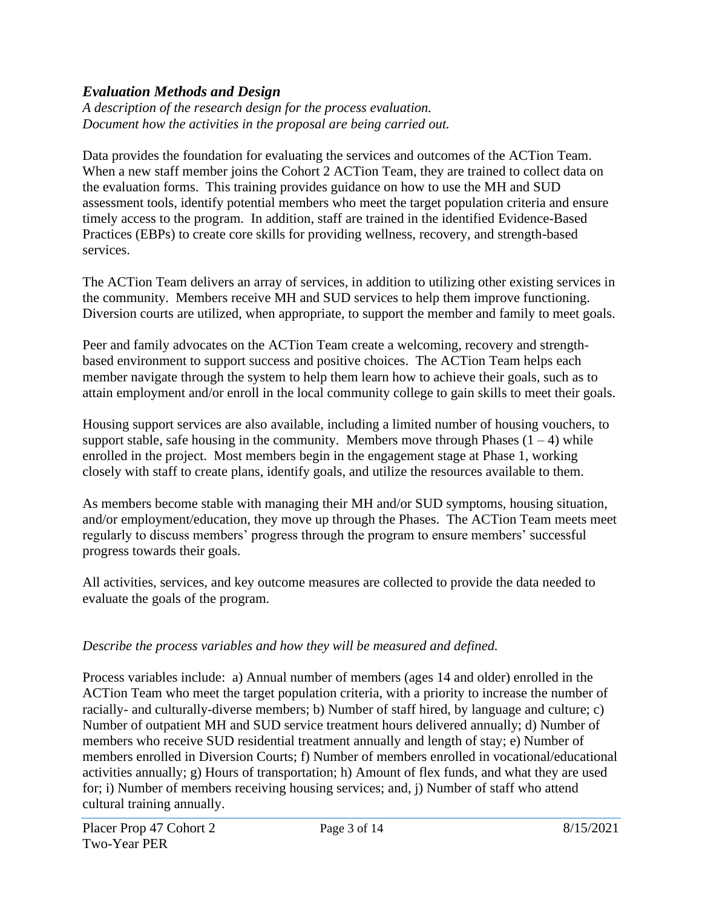## *Evaluation Methods and Design*

*A description of the research design for the process evaluation. Document how the activities in the proposal are being carried out.*

Data provides the foundation for evaluating the services and outcomes of the ACTion Team. When a new staff member joins the Cohort 2 ACTion Team, they are trained to collect data on the evaluation forms. This training provides guidance on how to use the MH and SUD assessment tools, identify potential members who meet the target population criteria and ensure timely access to the program. In addition, staff are trained in the identified Evidence-Based Practices (EBPs) to create core skills for providing wellness, recovery, and strength-based services.

The ACTion Team delivers an array of services, in addition to utilizing other existing services in the community. Members receive MH and SUD services to help them improve functioning. Diversion courts are utilized, when appropriate, to support the member and family to meet goals.

Peer and family advocates on the ACTion Team create a welcoming, recovery and strengthbased environment to support success and positive choices. The ACTion Team helps each member navigate through the system to help them learn how to achieve their goals, such as to attain employment and/or enroll in the local community college to gain skills to meet their goals.

Housing support services are also available, including a limited number of housing vouchers, to support stable, safe housing in the community. Members move through Phases  $(1 – 4)$  while enrolled in the project. Most members begin in the engagement stage at Phase 1, working closely with staff to create plans, identify goals, and utilize the resources available to them.

As members become stable with managing their MH and/or SUD symptoms, housing situation, and/or employment/education, they move up through the Phases. The ACTion Team meets meet regularly to discuss members' progress through the program to ensure members' successful progress towards their goals.

All activities, services, and key outcome measures are collected to provide the data needed to evaluate the goals of the program.

### *Describe the process variables and how they will be measured and defined.*

Process variables include: a) Annual number of members (ages 14 and older) enrolled in the ACTion Team who meet the target population criteria, with a priority to increase the number of racially- and culturally-diverse members; b) Number of staff hired, by language and culture; c) Number of outpatient MH and SUD service treatment hours delivered annually; d) Number of members who receive SUD residential treatment annually and length of stay; e) Number of members enrolled in Diversion Courts; f) Number of members enrolled in vocational/educational activities annually; g) Hours of transportation; h) Amount of flex funds, and what they are used for; i) Number of members receiving housing services; and, j) Number of staff who attend cultural training annually.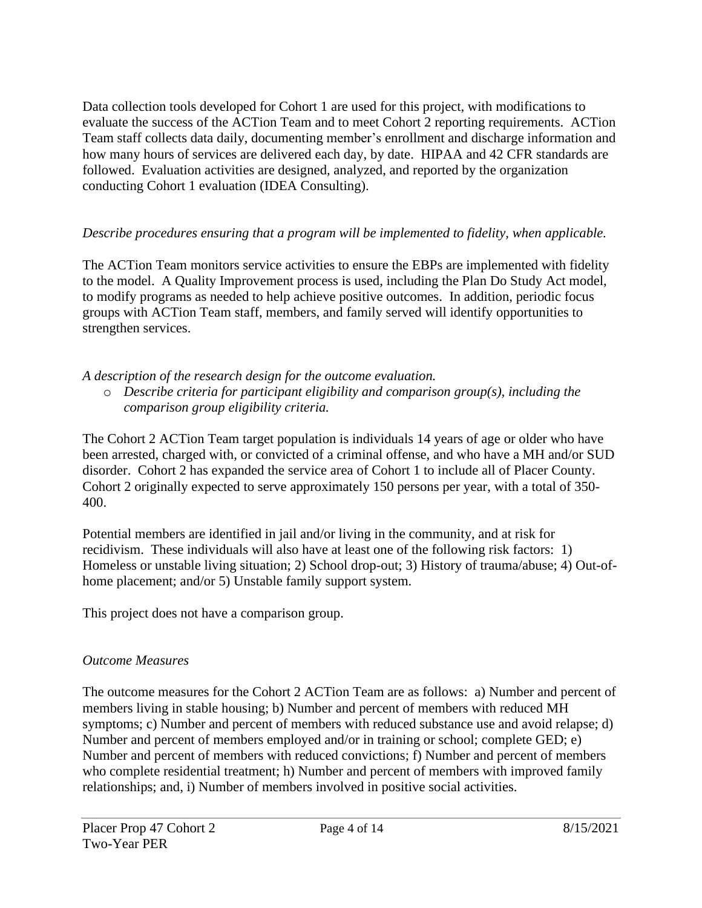Data collection tools developed for Cohort 1 are used for this project, with modifications to evaluate the success of the ACTion Team and to meet Cohort 2 reporting requirements. ACTion Team staff collects data daily, documenting member's enrollment and discharge information and how many hours of services are delivered each day, by date. HIPAA and 42 CFR standards are followed. Evaluation activities are designed, analyzed, and reported by the organization conducting Cohort 1 evaluation (IDEA Consulting).

#### *Describe procedures ensuring that a program will be implemented to fidelity, when applicable.*

The ACTion Team monitors service activities to ensure the EBPs are implemented with fidelity to the model. A Quality Improvement process is used, including the Plan Do Study Act model, to modify programs as needed to help achieve positive outcomes. In addition, periodic focus groups with ACTion Team staff, members, and family served will identify opportunities to strengthen services.

*A description of the research design for the outcome evaluation.* 

o *Describe criteria for participant eligibility and comparison group(s), including the comparison group eligibility criteria.*

The Cohort 2 ACTion Team target population is individuals 14 years of age or older who have been arrested, charged with, or convicted of a criminal offense, and who have a MH and/or SUD disorder. Cohort 2 has expanded the service area of Cohort 1 to include all of Placer County. Cohort 2 originally expected to serve approximately 150 persons per year, with a total of 350- 400.

Potential members are identified in jail and/or living in the community, and at risk for recidivism. These individuals will also have at least one of the following risk factors: 1) Homeless or unstable living situation; 2) School drop-out; 3) History of trauma/abuse; 4) Out-ofhome placement; and/or 5) Unstable family support system.

This project does not have a comparison group.

#### *Outcome Measures*

The outcome measures for the Cohort 2 ACTion Team are as follows: a) Number and percent of members living in stable housing; b) Number and percent of members with reduced MH symptoms; c) Number and percent of members with reduced substance use and avoid relapse; d) Number and percent of members employed and/or in training or school; complete GED; e) Number and percent of members with reduced convictions; f) Number and percent of members who complete residential treatment; h) Number and percent of members with improved family relationships; and, i) Number of members involved in positive social activities.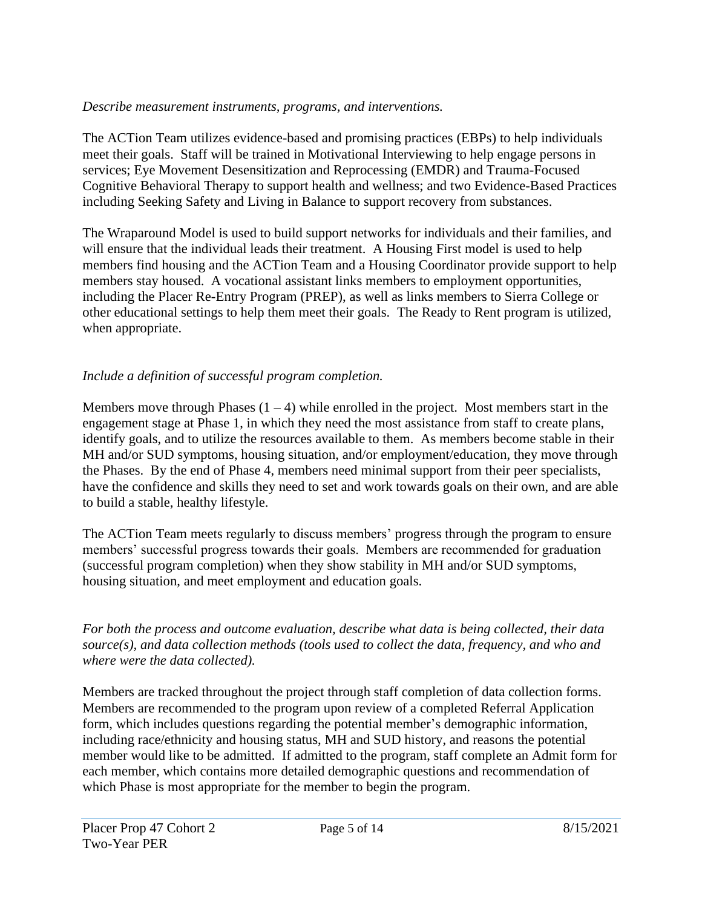#### *Describe measurement instruments, programs, and interventions.*

The ACTion Team utilizes evidence-based and promising practices (EBPs) to help individuals meet their goals. Staff will be trained in Motivational Interviewing to help engage persons in services; Eye Movement Desensitization and Reprocessing (EMDR) and Trauma-Focused Cognitive Behavioral Therapy to support health and wellness; and two Evidence-Based Practices including Seeking Safety and Living in Balance to support recovery from substances.

The Wraparound Model is used to build support networks for individuals and their families, and will ensure that the individual leads their treatment. A Housing First model is used to help members find housing and the ACTion Team and a Housing Coordinator provide support to help members stay housed. A vocational assistant links members to employment opportunities, including the Placer Re-Entry Program (PREP), as well as links members to Sierra College or other educational settings to help them meet their goals. The Ready to Rent program is utilized, when appropriate.

## *Include a definition of successful program completion.*

Members move through Phases  $(1 - 4)$  while enrolled in the project. Most members start in the engagement stage at Phase 1, in which they need the most assistance from staff to create plans, identify goals, and to utilize the resources available to them. As members become stable in their MH and/or SUD symptoms, housing situation, and/or employment/education, they move through the Phases. By the end of Phase 4, members need minimal support from their peer specialists, have the confidence and skills they need to set and work towards goals on their own, and are able to build a stable, healthy lifestyle.

The ACTion Team meets regularly to discuss members' progress through the program to ensure members' successful progress towards their goals. Members are recommended for graduation (successful program completion) when they show stability in MH and/or SUD symptoms, housing situation, and meet employment and education goals.

*For both the process and outcome evaluation, describe what data is being collected, their data source(s), and data collection methods (tools used to collect the data, frequency, and who and where were the data collected).*

Members are tracked throughout the project through staff completion of data collection forms. Members are recommended to the program upon review of a completed Referral Application form, which includes questions regarding the potential member's demographic information, including race/ethnicity and housing status, MH and SUD history, and reasons the potential member would like to be admitted. If admitted to the program, staff complete an Admit form for each member, which contains more detailed demographic questions and recommendation of which Phase is most appropriate for the member to begin the program.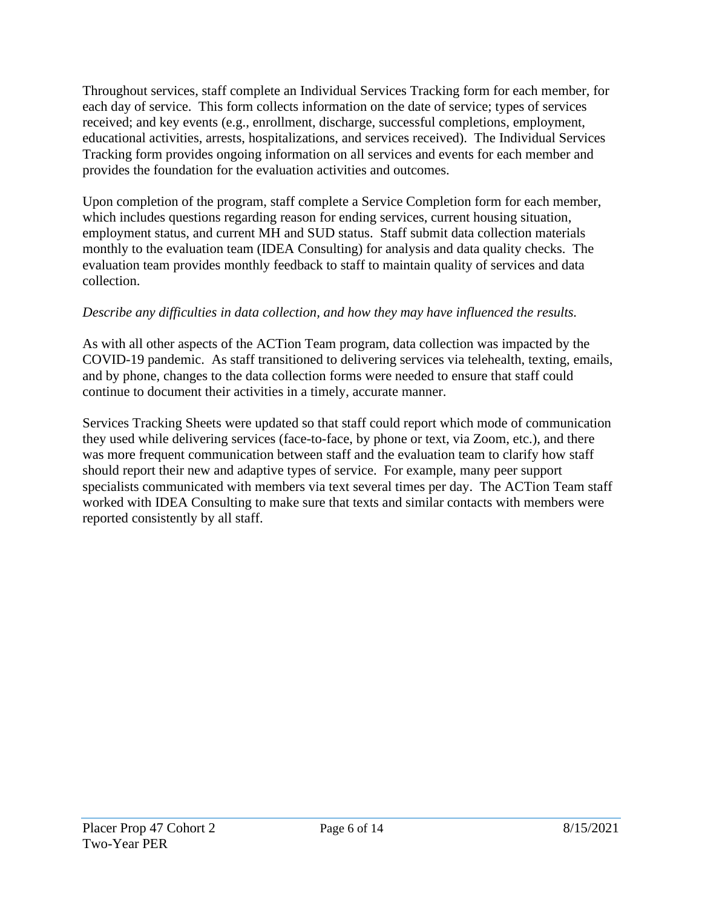Throughout services, staff complete an Individual Services Tracking form for each member, for each day of service. This form collects information on the date of service; types of services received; and key events (e.g., enrollment, discharge, successful completions, employment, educational activities, arrests, hospitalizations, and services received). The Individual Services Tracking form provides ongoing information on all services and events for each member and provides the foundation for the evaluation activities and outcomes.

Upon completion of the program, staff complete a Service Completion form for each member, which includes questions regarding reason for ending services, current housing situation, employment status, and current MH and SUD status. Staff submit data collection materials monthly to the evaluation team (IDEA Consulting) for analysis and data quality checks. The evaluation team provides monthly feedback to staff to maintain quality of services and data collection.

### *Describe any difficulties in data collection, and how they may have influenced the results.*

As with all other aspects of the ACTion Team program, data collection was impacted by the COVID-19 pandemic. As staff transitioned to delivering services via telehealth, texting, emails, and by phone, changes to the data collection forms were needed to ensure that staff could continue to document their activities in a timely, accurate manner.

Services Tracking Sheets were updated so that staff could report which mode of communication they used while delivering services (face-to-face, by phone or text, via Zoom, etc.), and there was more frequent communication between staff and the evaluation team to clarify how staff should report their new and adaptive types of service. For example, many peer support specialists communicated with members via text several times per day. The ACTion Team staff worked with IDEA Consulting to make sure that texts and similar contacts with members were reported consistently by all staff.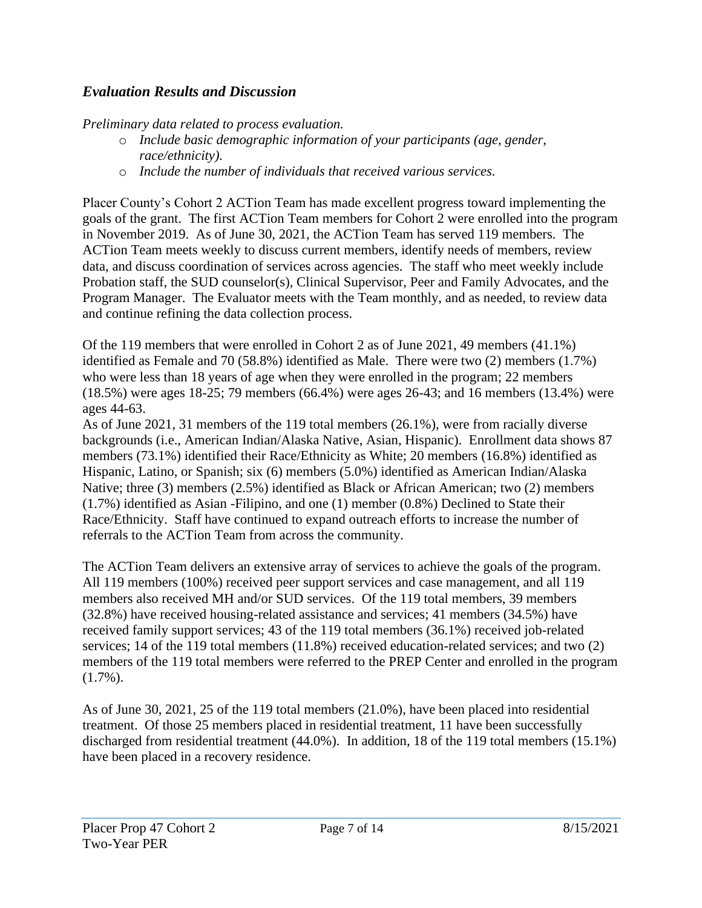### *Evaluation Results and Discussion*

*Preliminary data related to process evaluation.* 

- o *Include basic demographic information of your participants (age, gender, race/ethnicity).*
- o *Include the number of individuals that received various services.*

Placer County's Cohort 2 ACTion Team has made excellent progress toward implementing the goals of the grant. The first ACTion Team members for Cohort 2 were enrolled into the program in November 2019. As of June 30, 2021, the ACTion Team has served 119 members. The ACTion Team meets weekly to discuss current members, identify needs of members, review data, and discuss coordination of services across agencies. The staff who meet weekly include Probation staff, the SUD counselor(s), Clinical Supervisor, Peer and Family Advocates, and the Program Manager. The Evaluator meets with the Team monthly, and as needed, to review data and continue refining the data collection process.

Of the 119 members that were enrolled in Cohort 2 as of June 2021, 49 members (41.1%) identified as Female and 70 (58.8%) identified as Male. There were two (2) members (1.7%) who were less than 18 years of age when they were enrolled in the program; 22 members (18.5%) were ages 18-25; 79 members (66.4%) were ages 26-43; and 16 members (13.4%) were ages 44-63.

As of June 2021, 31 members of the 119 total members (26.1%), were from racially diverse backgrounds (i.e., American Indian/Alaska Native, Asian, Hispanic). Enrollment data shows 87 members (73.1%) identified their Race/Ethnicity as White; 20 members (16.8%) identified as Hispanic, Latino, or Spanish; six (6) members (5.0%) identified as American Indian/Alaska Native; three (3) members (2.5%) identified as Black or African American; two (2) members (1.7%) identified as Asian -Filipino, and one (1) member (0.8%) Declined to State their Race/Ethnicity. Staff have continued to expand outreach efforts to increase the number of referrals to the ACTion Team from across the community.

The ACTion Team delivers an extensive array of services to achieve the goals of the program. All 119 members (100%) received peer support services and case management, and all 119 members also received MH and/or SUD services. Of the 119 total members, 39 members (32.8%) have received housing-related assistance and services; 41 members (34.5%) have received family support services; 43 of the 119 total members (36.1%) received job-related services; 14 of the 119 total members (11.8%) received education-related services; and two (2) members of the 119 total members were referred to the PREP Center and enrolled in the program (1.7%).

As of June 30, 2021, 25 of the 119 total members (21.0%), have been placed into residential treatment. Of those 25 members placed in residential treatment, 11 have been successfully discharged from residential treatment (44.0%). In addition, 18 of the 119 total members (15.1%) have been placed in a recovery residence.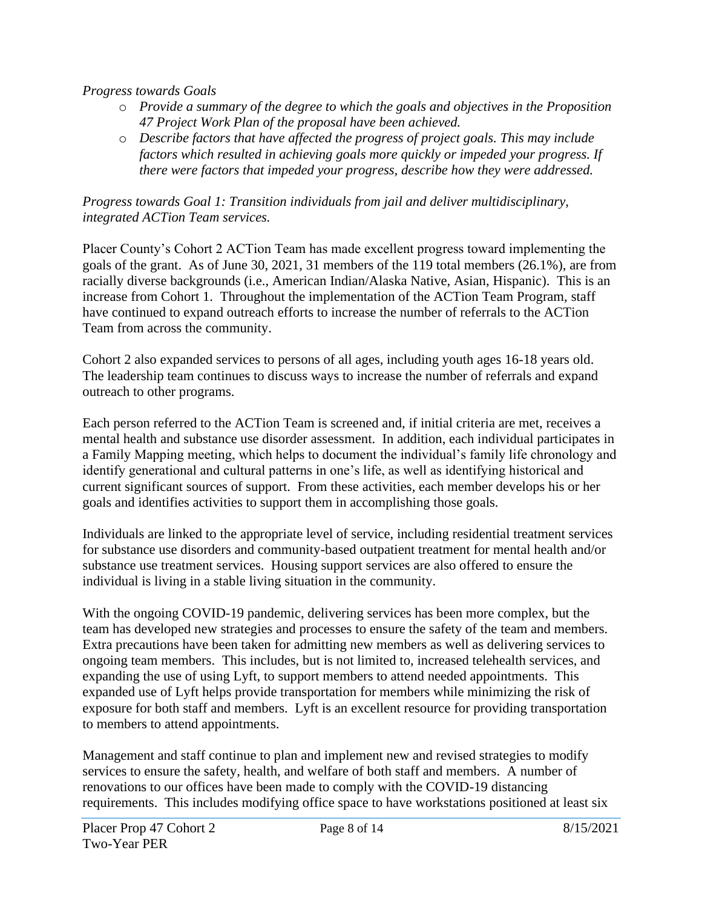#### *Progress towards Goals*

- o *Provide a summary of the degree to which the goals and objectives in the Proposition 47 Project Work Plan of the proposal have been achieved.*
- o *Describe factors that have affected the progress of project goals. This may include factors which resulted in achieving goals more quickly or impeded your progress. If there were factors that impeded your progress, describe how they were addressed.*

#### *Progress towards Goal 1: Transition individuals from jail and deliver multidisciplinary, integrated ACTion Team services.*

Placer County's Cohort 2 ACTion Team has made excellent progress toward implementing the goals of the grant. As of June 30, 2021, 31 members of the 119 total members (26.1%), are from racially diverse backgrounds (i.e., American Indian/Alaska Native, Asian, Hispanic). This is an increase from Cohort 1. Throughout the implementation of the ACTion Team Program, staff have continued to expand outreach efforts to increase the number of referrals to the ACTion Team from across the community.

Cohort 2 also expanded services to persons of all ages, including youth ages 16-18 years old. The leadership team continues to discuss ways to increase the number of referrals and expand outreach to other programs.

Each person referred to the ACTion Team is screened and, if initial criteria are met, receives a mental health and substance use disorder assessment. In addition, each individual participates in a Family Mapping meeting, which helps to document the individual's family life chronology and identify generational and cultural patterns in one's life, as well as identifying historical and current significant sources of support. From these activities, each member develops his or her goals and identifies activities to support them in accomplishing those goals.

Individuals are linked to the appropriate level of service, including residential treatment services for substance use disorders and community-based outpatient treatment for mental health and/or substance use treatment services. Housing support services are also offered to ensure the individual is living in a stable living situation in the community.

With the ongoing COVID-19 pandemic, delivering services has been more complex, but the team has developed new strategies and processes to ensure the safety of the team and members. Extra precautions have been taken for admitting new members as well as delivering services to ongoing team members. This includes, but is not limited to, increased telehealth services, and expanding the use of using Lyft, to support members to attend needed appointments. This expanded use of Lyft helps provide transportation for members while minimizing the risk of exposure for both staff and members. Lyft is an excellent resource for providing transportation to members to attend appointments.

Management and staff continue to plan and implement new and revised strategies to modify services to ensure the safety, health, and welfare of both staff and members. A number of renovations to our offices have been made to comply with the COVID-19 distancing requirements. This includes modifying office space to have workstations positioned at least six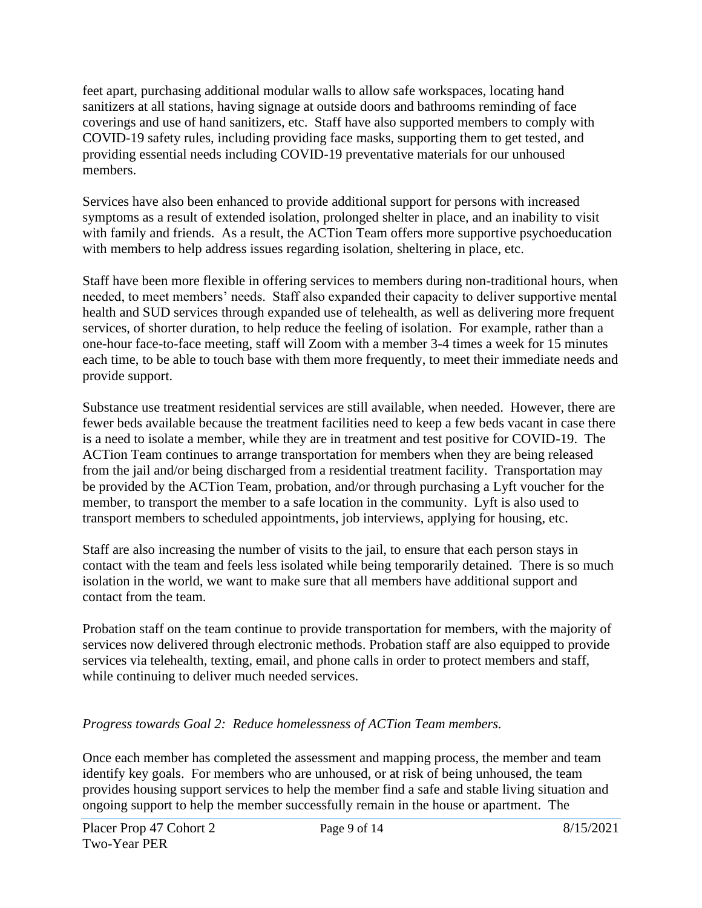feet apart, purchasing additional modular walls to allow safe workspaces, locating hand sanitizers at all stations, having signage at outside doors and bathrooms reminding of face coverings and use of hand sanitizers, etc. Staff have also supported members to comply with COVID-19 safety rules, including providing face masks, supporting them to get tested, and providing essential needs including COVID-19 preventative materials for our unhoused members.

Services have also been enhanced to provide additional support for persons with increased symptoms as a result of extended isolation, prolonged shelter in place, and an inability to visit with family and friends. As a result, the ACTion Team offers more supportive psychoeducation with members to help address issues regarding isolation, sheltering in place, etc.

Staff have been more flexible in offering services to members during non-traditional hours, when needed, to meet members' needs. Staff also expanded their capacity to deliver supportive mental health and SUD services through expanded use of telehealth, as well as delivering more frequent services, of shorter duration, to help reduce the feeling of isolation. For example, rather than a one-hour face-to-face meeting, staff will Zoom with a member 3-4 times a week for 15 minutes each time, to be able to touch base with them more frequently, to meet their immediate needs and provide support.

Substance use treatment residential services are still available, when needed. However, there are fewer beds available because the treatment facilities need to keep a few beds vacant in case there is a need to isolate a member, while they are in treatment and test positive for COVID-19. The ACTion Team continues to arrange transportation for members when they are being released from the jail and/or being discharged from a residential treatment facility. Transportation may be provided by the ACTion Team, probation, and/or through purchasing a Lyft voucher for the member, to transport the member to a safe location in the community. Lyft is also used to transport members to scheduled appointments, job interviews, applying for housing, etc.

Staff are also increasing the number of visits to the jail, to ensure that each person stays in contact with the team and feels less isolated while being temporarily detained. There is so much isolation in the world, we want to make sure that all members have additional support and contact from the team.

Probation staff on the team continue to provide transportation for members, with the majority of services now delivered through electronic methods. Probation staff are also equipped to provide services via telehealth, texting, email, and phone calls in order to protect members and staff, while continuing to deliver much needed services.

### *Progress towards Goal 2: Reduce homelessness of ACTion Team members.*

Once each member has completed the assessment and mapping process, the member and team identify key goals. For members who are unhoused, or at risk of being unhoused, the team provides housing support services to help the member find a safe and stable living situation and ongoing support to help the member successfully remain in the house or apartment. The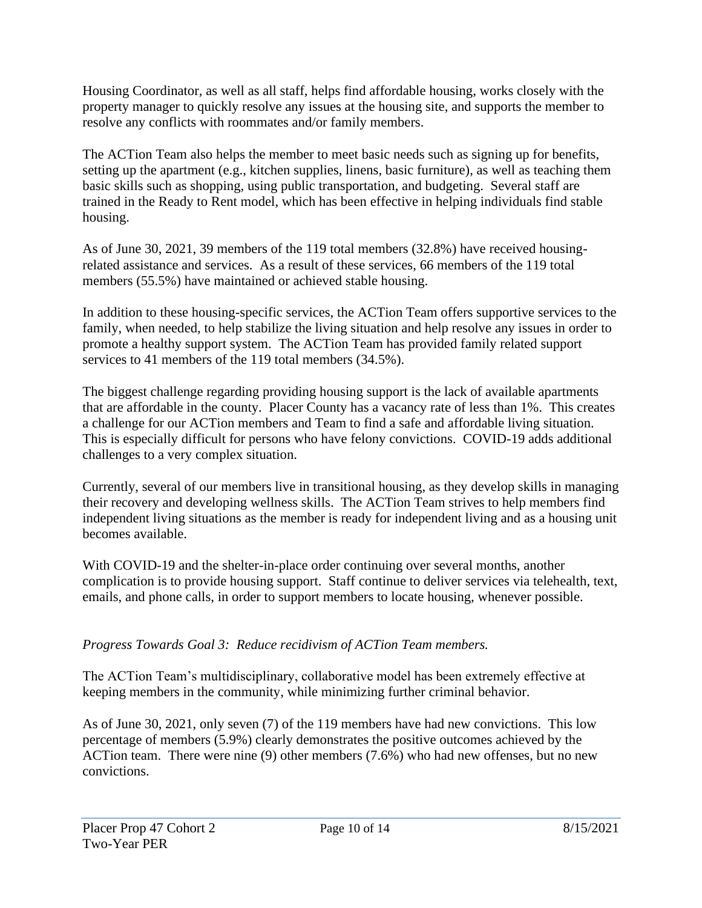Housing Coordinator, as well as all staff, helps find affordable housing, works closely with the property manager to quickly resolve any issues at the housing site, and supports the member to resolve any conflicts with roommates and/or family members.

The ACTion Team also helps the member to meet basic needs such as signing up for benefits, setting up the apartment (e.g., kitchen supplies, linens, basic furniture), as well as teaching them basic skills such as shopping, using public transportation, and budgeting. Several staff are trained in the Ready to Rent model, which has been effective in helping individuals find stable housing.

As of June 30, 2021, 39 members of the 119 total members (32.8%) have received housingrelated assistance and services. As a result of these services, 66 members of the 119 total members (55.5%) have maintained or achieved stable housing.

In addition to these housing-specific services, the ACTion Team offers supportive services to the family, when needed, to help stabilize the living situation and help resolve any issues in order to promote a healthy support system. The ACTion Team has provided family related support services to 41 members of the 119 total members (34.5%).

The biggest challenge regarding providing housing support is the lack of available apartments that are affordable in the county. Placer County has a vacancy rate of less than 1%. This creates a challenge for our ACTion members and Team to find a safe and affordable living situation. This is especially difficult for persons who have felony convictions. COVID-19 adds additional challenges to a very complex situation.

Currently, several of our members live in transitional housing, as they develop skills in managing their recovery and developing wellness skills. The ACTion Team strives to help members find independent living situations as the member is ready for independent living and as a housing unit becomes available.

With COVID-19 and the shelter-in-place order continuing over several months, another complication is to provide housing support. Staff continue to deliver services via telehealth, text, emails, and phone calls, in order to support members to locate housing, whenever possible.

### *Progress Towards Goal 3: Reduce recidivism of ACTion Team members.*

The ACTion Team's multidisciplinary, collaborative model has been extremely effective at keeping members in the community, while minimizing further criminal behavior.

As of June 30, 2021, only seven (7) of the 119 members have had new convictions. This low percentage of members (5.9%) clearly demonstrates the positive outcomes achieved by the ACTion team. There were nine (9) other members (7.6%) who had new offenses, but no new convictions.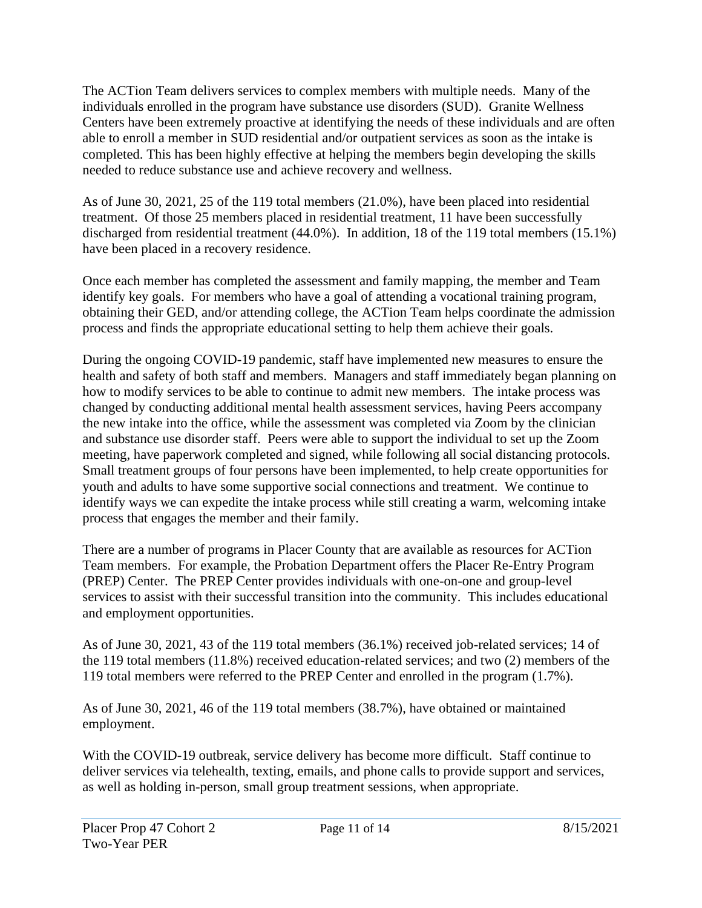The ACTion Team delivers services to complex members with multiple needs. Many of the individuals enrolled in the program have substance use disorders (SUD). Granite Wellness Centers have been extremely proactive at identifying the needs of these individuals and are often able to enroll a member in SUD residential and/or outpatient services as soon as the intake is completed. This has been highly effective at helping the members begin developing the skills needed to reduce substance use and achieve recovery and wellness.

As of June 30, 2021, 25 of the 119 total members (21.0%), have been placed into residential treatment. Of those 25 members placed in residential treatment, 11 have been successfully discharged from residential treatment (44.0%). In addition, 18 of the 119 total members (15.1%) have been placed in a recovery residence.

Once each member has completed the assessment and family mapping, the member and Team identify key goals. For members who have a goal of attending a vocational training program, obtaining their GED, and/or attending college, the ACTion Team helps coordinate the admission process and finds the appropriate educational setting to help them achieve their goals.

During the ongoing COVID-19 pandemic, staff have implemented new measures to ensure the health and safety of both staff and members. Managers and staff immediately began planning on how to modify services to be able to continue to admit new members. The intake process was changed by conducting additional mental health assessment services, having Peers accompany the new intake into the office, while the assessment was completed via Zoom by the clinician and substance use disorder staff. Peers were able to support the individual to set up the Zoom meeting, have paperwork completed and signed, while following all social distancing protocols. Small treatment groups of four persons have been implemented, to help create opportunities for youth and adults to have some supportive social connections and treatment. We continue to identify ways we can expedite the intake process while still creating a warm, welcoming intake process that engages the member and their family.

There are a number of programs in Placer County that are available as resources for ACTion Team members. For example, the Probation Department offers the Placer Re-Entry Program (PREP) Center. The PREP Center provides individuals with one-on-one and group-level services to assist with their successful transition into the community. This includes educational and employment opportunities.

As of June 30, 2021, 43 of the 119 total members (36.1%) received job-related services; 14 of the 119 total members (11.8%) received education-related services; and two (2) members of the 119 total members were referred to the PREP Center and enrolled in the program (1.7%).

As of June 30, 2021, 46 of the 119 total members (38.7%), have obtained or maintained employment.

With the COVID-19 outbreak, service delivery has become more difficult. Staff continue to deliver services via telehealth, texting, emails, and phone calls to provide support and services, as well as holding in-person, small group treatment sessions, when appropriate.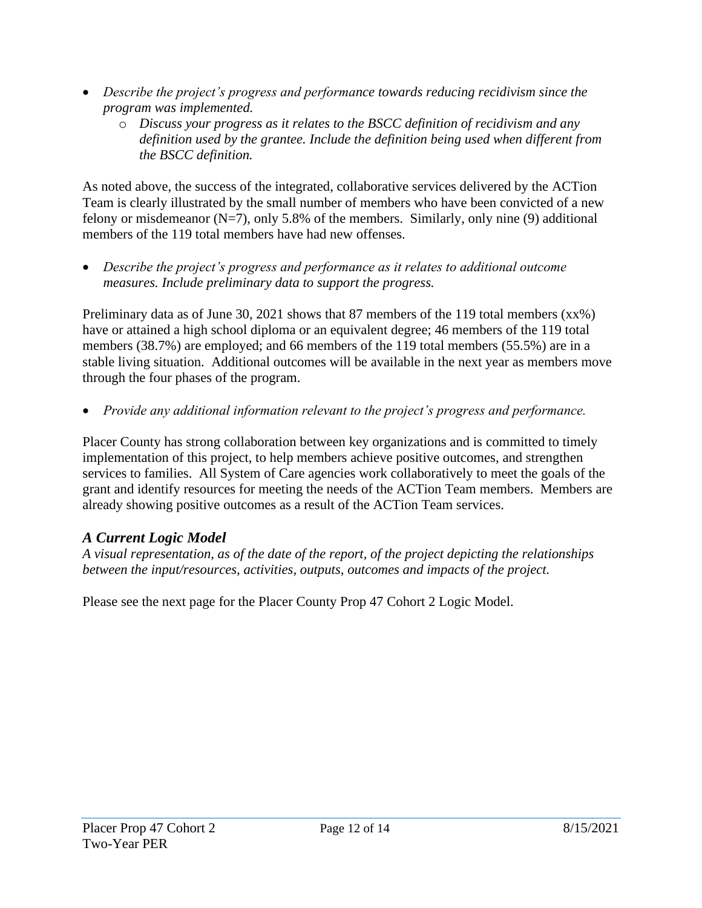- *Describe the project's progress and performance towards reducing recidivism since the program was implemented.* 
	- o *Discuss your progress as it relates to the BSCC definition of recidivism and any definition used by the grantee. Include the definition being used when different from the BSCC definition.*

As noted above, the success of the integrated, collaborative services delivered by the ACTion Team is clearly illustrated by the small number of members who have been convicted of a new felony or misdemeanor  $(N=7)$ , only 5.8% of the members. Similarly, only nine (9) additional members of the 119 total members have had new offenses.

• *Describe the project's progress and performance as it relates to additional outcome measures. Include preliminary data to support the progress.* 

Preliminary data as of June 30, 2021 shows that 87 members of the 119 total members (xx%) have or attained a high school diploma or an equivalent degree; 46 members of the 119 total members (38.7%) are employed; and 66 members of the 119 total members (55.5%) are in a stable living situation. Additional outcomes will be available in the next year as members move through the four phases of the program.

• *Provide any additional information relevant to the project's progress and performance.* 

Placer County has strong collaboration between key organizations and is committed to timely implementation of this project, to help members achieve positive outcomes, and strengthen services to families. All System of Care agencies work collaboratively to meet the goals of the grant and identify resources for meeting the needs of the ACTion Team members. Members are already showing positive outcomes as a result of the ACTion Team services.

## *A Current Logic Model*

*A visual representation, as of the date of the report, of the project depicting the relationships between the input/resources, activities, outputs, outcomes and impacts of the project.*

Please see the next page for the Placer County Prop 47 Cohort 2 Logic Model.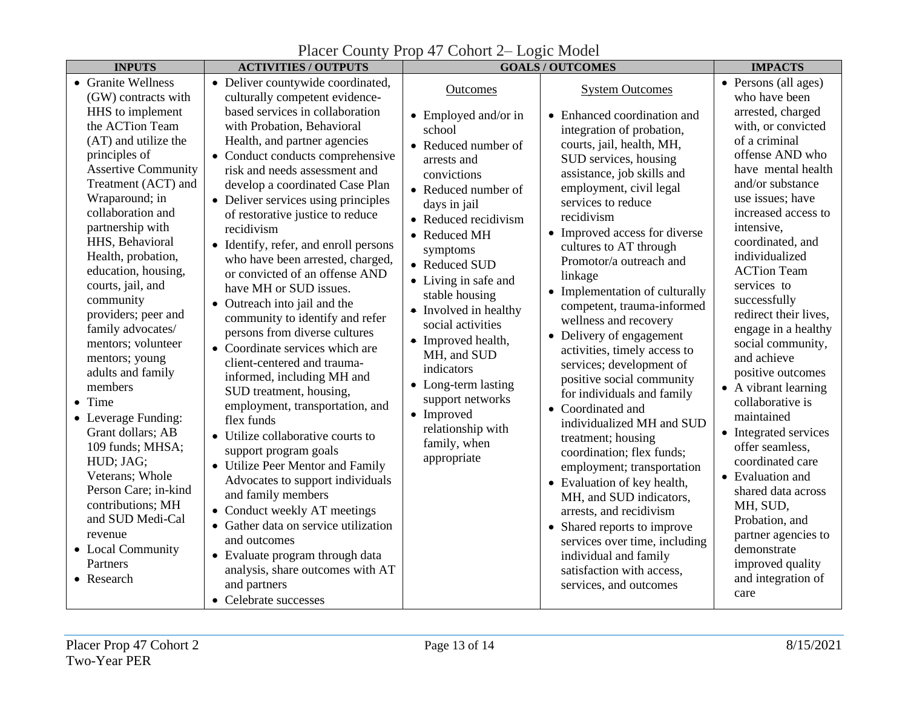| <b>INPUTS</b>                                                                                                                                                                                                                                                                                                                                                                                                                                                                                                                                                                                                                                                                                                | <b>ACTIVITIES / OUTPUTS</b>                                                                                                                                                                                                                                                                                                                                                                                                                                                                                                                                                                                                                                                                                                                                                                                                                                                                                                                                                                                                                                                                                                                                        | <b>GOALS/OUTCOMES</b>                                                                                                                                                                                                                                                                                                                                                                                                                                                               |                                                                                                                                                                                                                                                                                                                                                                                                                                                                                                                                                                                                                                                                                                                                                                                                                                                                                                                                                            | <b>IMPACTS</b>                                                                                                                                                                                                                                                                                                                                                                                                                                                                                                                                                                                                                                                                                                        |
|--------------------------------------------------------------------------------------------------------------------------------------------------------------------------------------------------------------------------------------------------------------------------------------------------------------------------------------------------------------------------------------------------------------------------------------------------------------------------------------------------------------------------------------------------------------------------------------------------------------------------------------------------------------------------------------------------------------|--------------------------------------------------------------------------------------------------------------------------------------------------------------------------------------------------------------------------------------------------------------------------------------------------------------------------------------------------------------------------------------------------------------------------------------------------------------------------------------------------------------------------------------------------------------------------------------------------------------------------------------------------------------------------------------------------------------------------------------------------------------------------------------------------------------------------------------------------------------------------------------------------------------------------------------------------------------------------------------------------------------------------------------------------------------------------------------------------------------------------------------------------------------------|-------------------------------------------------------------------------------------------------------------------------------------------------------------------------------------------------------------------------------------------------------------------------------------------------------------------------------------------------------------------------------------------------------------------------------------------------------------------------------------|------------------------------------------------------------------------------------------------------------------------------------------------------------------------------------------------------------------------------------------------------------------------------------------------------------------------------------------------------------------------------------------------------------------------------------------------------------------------------------------------------------------------------------------------------------------------------------------------------------------------------------------------------------------------------------------------------------------------------------------------------------------------------------------------------------------------------------------------------------------------------------------------------------------------------------------------------------|-----------------------------------------------------------------------------------------------------------------------------------------------------------------------------------------------------------------------------------------------------------------------------------------------------------------------------------------------------------------------------------------------------------------------------------------------------------------------------------------------------------------------------------------------------------------------------------------------------------------------------------------------------------------------------------------------------------------------|
| • Granite Wellness<br>(GW) contracts with<br>HHS to implement<br>the ACTion Team<br>(AT) and utilize the<br>principles of<br><b>Assertive Community</b><br>Treatment (ACT) and<br>Wraparound; in<br>collaboration and<br>partnership with<br>HHS, Behavioral<br>Health, probation,<br>education, housing,<br>courts, jail, and<br>community<br>providers; peer and<br>family advocates/<br>mentors; volunteer<br>mentors; young<br>adults and family<br>members<br>$\bullet$ Time<br>• Leverage Funding:<br>Grant dollars; AB<br>109 funds; MHSA;<br>HUD; JAG;<br>Veterans; Whole<br>Person Care; in-kind<br>contributions; MH<br>and SUD Medi-Cal<br>revenue<br>• Local Community<br>Partners<br>• Research | • Deliver countywide coordinated,<br>culturally competent evidence-<br>based services in collaboration<br>with Probation, Behavioral<br>Health, and partner agencies<br>• Conduct conducts comprehensive<br>risk and needs assessment and<br>develop a coordinated Case Plan<br>• Deliver services using principles<br>of restorative justice to reduce<br>recidivism<br>• Identify, refer, and enroll persons<br>who have been arrested, charged,<br>or convicted of an offense AND<br>have MH or SUD issues.<br>• Outreach into jail and the<br>community to identify and refer<br>persons from diverse cultures<br>• Coordinate services which are<br>client-centered and trauma-<br>informed, including MH and<br>SUD treatment, housing,<br>employment, transportation, and<br>flex funds<br>• Utilize collaborative courts to<br>support program goals<br>• Utilize Peer Mentor and Family<br>Advocates to support individuals<br>and family members<br>• Conduct weekly AT meetings<br>• Gather data on service utilization<br>and outcomes<br>• Evaluate program through data<br>analysis, share outcomes with AT<br>and partners<br>• Celebrate successes | Outcomes<br>$\bullet$ Employed and/or in<br>school<br>• Reduced number of<br>arrests and<br>convictions<br>• Reduced number of<br>days in jail<br>• Reduced recidivism<br>• Reduced MH<br>symptoms<br>• Reduced SUD<br>• Living in safe and<br>stable housing<br>$\bullet$ Involved in healthy<br>social activities<br>• Improved health,<br>MH, and SUD<br>indicators<br>• Long-term lasting<br>support networks<br>• Improved<br>relationship with<br>family, when<br>appropriate | <b>System Outcomes</b><br>• Enhanced coordination and<br>integration of probation,<br>courts, jail, health, MH,<br>SUD services, housing<br>assistance, job skills and<br>employment, civil legal<br>services to reduce<br>recidivism<br>• Improved access for diverse<br>cultures to AT through<br>Promotor/a outreach and<br>linkage<br>• Implementation of culturally<br>competent, trauma-informed<br>wellness and recovery<br>• Delivery of engagement<br>activities, timely access to<br>services; development of<br>positive social community<br>for individuals and family<br>• Coordinated and<br>individualized MH and SUD<br>treatment; housing<br>coordination; flex funds;<br>employment; transportation<br>• Evaluation of key health,<br>MH, and SUD indicators,<br>arrests, and recidivism<br>• Shared reports to improve<br>services over time, including<br>individual and family<br>satisfaction with access,<br>services, and outcomes | • Persons (all ages)<br>who have been<br>arrested, charged<br>with, or convicted<br>of a criminal<br>offense AND who<br>have mental health<br>and/or substance<br>use issues; have<br>increased access to<br>intensive,<br>coordinated, and<br>individualized<br><b>ACTion Team</b><br>services to<br>successfully<br>redirect their lives,<br>engage in a healthy<br>social community,<br>and achieve<br>positive outcomes<br>• A vibrant learning<br>collaborative is<br>maintained<br>• Integrated services<br>offer seamless,<br>coordinated care<br>• Evaluation and<br>shared data across<br>MH, SUD,<br>Probation, and<br>partner agencies to<br>demonstrate<br>improved quality<br>and integration of<br>care |

# Placer County Prop 47 Cohort 2– Logic Model